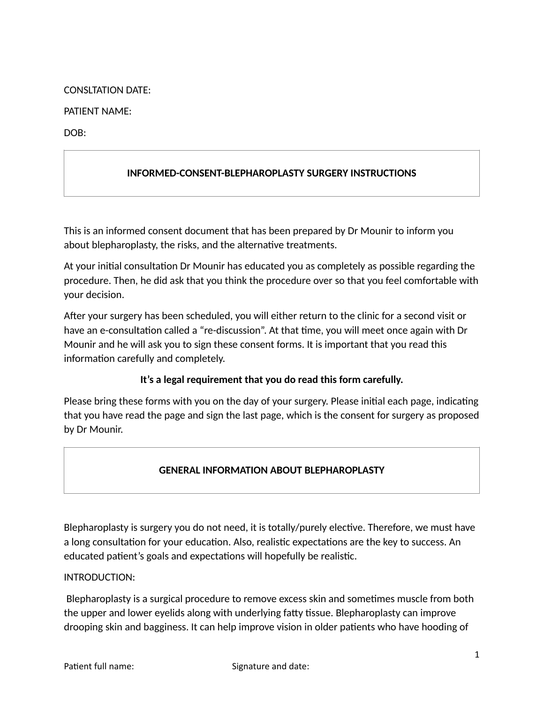### CONSLTATION DATE:

### PATIENT NAME:

DOB:

# **INFORMED-CONSENT-BLEPHAROPLASTY SURGERY INSTRUCTIONS**

This is an informed consent document that has been prepared by Dr Mounir to inform you about blepharoplasty, the risks, and the alternative treatments.

At your initial consultation Dr Mounir has educated you as completely as possible regarding the procedure. Then, he did ask that you think the procedure over so that you feel comfortable with your decision.

After your surgery has been scheduled, you will either return to the clinic for a second visit or have an e-consultation called a "re-discussion". At that time, you will meet once again with Dr Mounir and he will ask you to sign these consent forms. It is important that you read this information carefully and completely.

## **It's a legal requirement that you do read this form carefully.**

Please bring these forms with you on the day of your surgery. Please initial each page, indicating that you have read the page and sign the last page, which is the consent for surgery as proposed by Dr Mounir.

## **GENERAL INFORMATION ABOUT BLEPHAROPLASTY**

Blepharoplasty is surgery you do not need, it is totally/purely elective. Therefore, we must have a long consultation for your education. Also, realistic expectations are the key to success. An educated patient's goals and expectations will hopefully be realistic.

### INTRODUCTION:

Blepharoplasty is a surgical procedure to remove excess skin and sometimes muscle from both the upper and lower eyelids along with underlying fatty tissue. Blepharoplasty can improve drooping skin and bagginess. It can help improve vision in older patients who have hooding of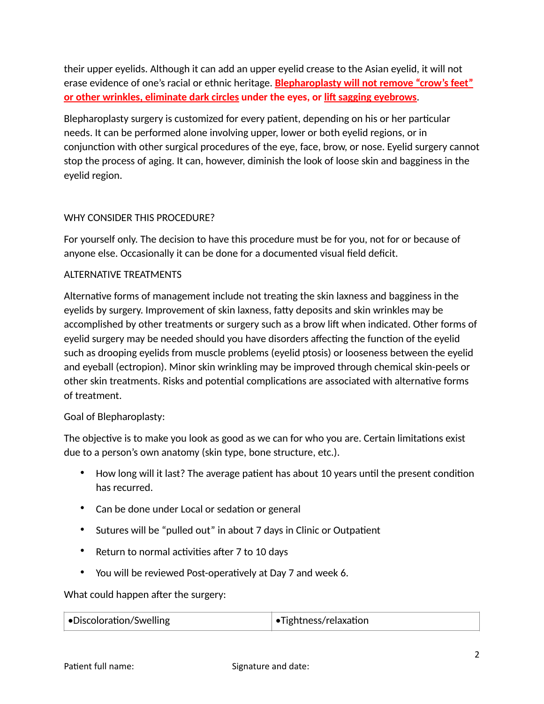their upper eyelids. Although it can add an upper eyelid crease to the Asian eyelid, it will not erase evidence of one's racial or ethnic heritage. **Blepharoplasty will not remove "crow's feet" <u>or other wrinkles, eliminate dark circles</u> under the eyes, or lift sagging eyebrows.</u>** 

Blepharoplasty surgery is customized for every patient, depending on his or her particular needs. It can be performed alone involving upper, lower or both eyelid regions, or in conjunction with other surgical procedures of the eye, face, brow, or nose. Eyelid surgery cannot stop the process of aging. It can, however, diminish the look of loose skin and bagginess in the eyelid region.

## WHY CONSIDER THIS PROCEDURE?

For yourself only. The decision to have this procedure must be for you, not for or because of anyone else. Occasionally it can be done for a documented visual field deficit.

### ALTERNATIVE TREATMENTS

Alternative forms of management include not treating the skin laxness and bagginess in the eyelids by surgery. Improvement of skin laxness, fatty deposits and skin wrinkles may be accomplished by other treatments or surgery such as a brow lift when indicated. Other forms of eyelid surgery may be needed should you have disorders affecting the function of the eyelid such as drooping eyelids from muscle problems (eyelid ptosis) or looseness between the eyelid and eyeball (ectropion). Minor skin wrinkling may be improved through chemical skin-peels or other skin treatments. Risks and potential complications are associated with alternative forms of treatment.

### Goal of Blepharoplasty:

The objective is to make you look as good as we can for who you are. Certain limitations exist due to a person's own anatomy (skin type, bone structure, etc.).

- How long will it last? The average patient has about 10 years until the present condition has recurred.
- Can be done under Local or sedation or general
- Sutures will be "pulled out" in about 7 days in Clinic or Outpatient
- Return to normal activities after 7 to 10 days
- You will be reviewed Post-operatively at Day 7 and week 6.

What could happen after the surgery:

| $\bullet$ Discoloration/Swelling | $\bullet$ Tightness/relaxation |
|----------------------------------|--------------------------------|
|                                  |                                |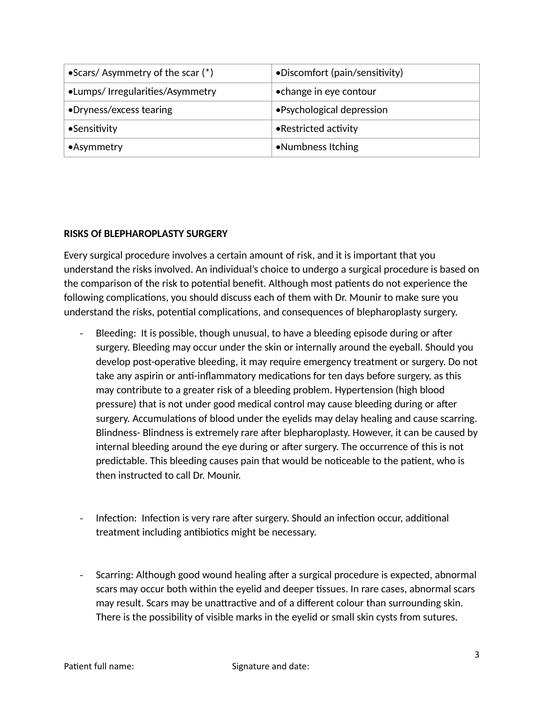| $\bullet$ Scars/Asymmetry of the scar (*) | •Discomfort (pain/sensitivity) |
|-------------------------------------------|--------------------------------|
| •Lumps/ Irregularities/Asymmetry          | • change in eye contour        |
| •Dryness/excess tearing                   | • Psychological depression     |
| •Sensitivity                              | • Restricted activity          |
| $\bullet$ Asymmetry                       | •Numbness Itching              |

### **RISKS Of BLEPHAROPLASTY SURGERY**

Every surgical procedure involves a certain amount of risk, and it is important that you understand the risks involved. An individual's choice to undergo a surgical procedure is based on the comparison of the risk to potential benefit. Although most patients do not experience the following complications, you should discuss each of them with Dr. Mounir to make sure you understand the risks, potential complications, and consequences of blepharoplasty surgery.

- Bleeding: It is possible, though unusual, to have a bleeding episode during or after surgery. Bleeding may occur under the skin or internally around the eyeball. Should you develop post-operative bleeding, it may require emergency treatment or surgery. Do not take any aspirin or anti-inflammatory medications for ten days before surgery, as this may contribute to a greater risk of a bleeding problem. Hypertension (high blood pressure) that is not under good medical control may cause bleeding during or after surgery. Accumulations of blood under the eyelids may delay healing and cause scarring. Blindness- Blindness is extremely rare after blepharoplasty. However, it can be caused by internal bleeding around the eye during or after surgery. The occurrence of this is not predictable. This bleeding causes pain that would be noticeable to the patient, who is then instructed to call Dr. Mounir.
- Infection: Infection is very rare after surgery. Should an infection occur, additional treatment including antibiotics might be necessary.
- Scarring: Although good wound healing after a surgical procedure is expected, abnormal scars may occur both within the eyelid and deeper tissues. In rare cases, abnormal scars may result. Scars may be unattractive and of a different colour than surrounding skin. There is the possibility of visible marks in the eyelid or small skin cysts from sutures.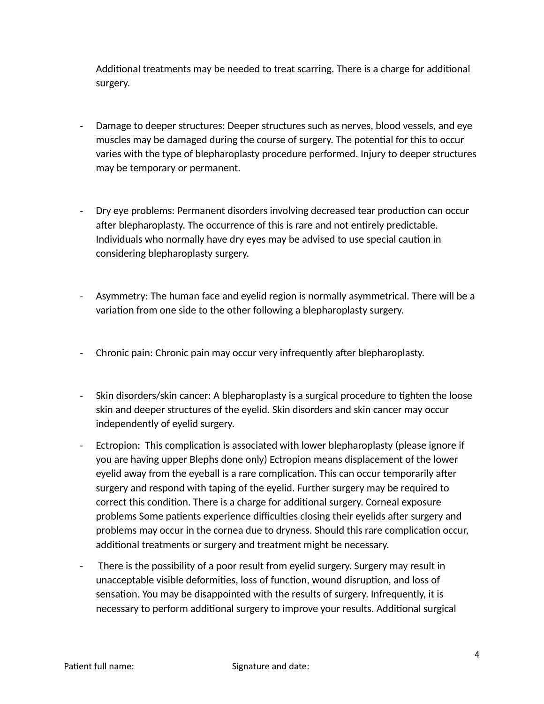Additional treatments may be needed to treat scarring. There is a charge for additional surgery.

- Damage to deeper structures: Deeper structures such as nerves, blood vessels, and eye muscles may be damaged during the course of surgery. The potential for this to occur varies with the type of blepharoplasty procedure performed. Injury to deeper structures may be temporary or permanent.
- Dry eye problems: Permanent disorders involving decreased tear production can occur after blepharoplasty. The occurrence of this is rare and not entirely predictable. Individuals who normally have dry eyes may be advised to use special caution in considering blepharoplasty surgery.
- Asymmetry: The human face and eyelid region is normally asymmetrical. There will be a variation from one side to the other following a blepharoplasty surgery.
- Chronic pain: Chronic pain may occur very infrequently after blepharoplasty.
- Skin disorders/skin cancer: A blepharoplasty is a surgical procedure to tighten the loose skin and deeper structures of the eyelid. Skin disorders and skin cancer may occur independently of eyelid surgery.
- Ectropion: This complication is associated with lower blepharoplasty (please ignore if you are having upper Blephs done only) Ectropion means displacement of the lower eyelid away from the eyeball is a rare complication. This can occur temporarily after surgery and respond with taping of the eyelid. Further surgery may be required to correct this condition. There is a charge for additional surgery. Corneal exposure problems Some patients experience difficulties closing their eyelids after surgery and problems may occur in the cornea due to dryness. Should this rare complication occur, additional treatments or surgery and treatment might be necessary.
- There is the possibility of a poor result from eyelid surgery. Surgery may result in unacceptable visible deformities, loss of function, wound disruption, and loss of sensation. You may be disappointed with the results of surgery. Infrequently, it is necessary to perform additional surgery to improve your results. Additional surgical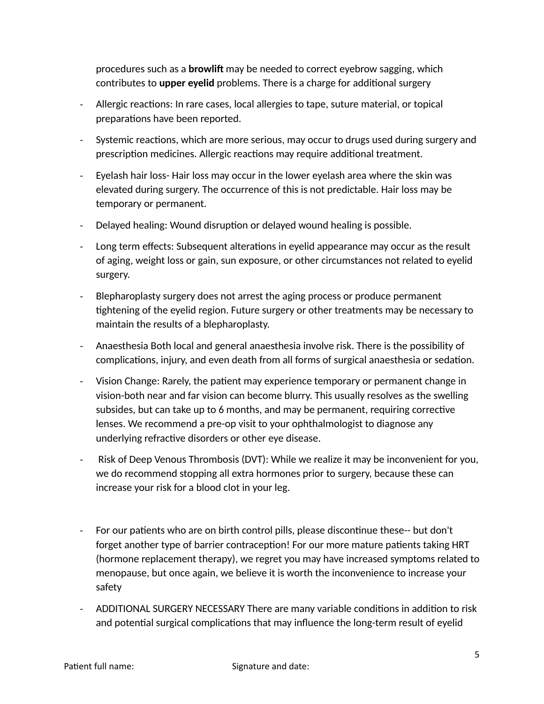procedures such as a **browlift** may be needed to correct eyebrow sagging, which contributes to upper eyelid problems. There is a charge for additional surgery

- Allergic reactions: In rare cases, local allergies to tape, suture material, or topical preparations have been reported.
- Systemic reactions, which are more serious, may occur to drugs used during surgery and prescription medicines. Allergic reactions may require additional treatment.
- Eyelash hair loss- Hair loss may occur in the lower eyelash area where the skin was elevated during surgery. The occurrence of this is not predictable. Hair loss may be temporary or permanent.
- Delayed healing: Wound disruption or delayed wound healing is possible.
- Long term effects: Subsequent alterations in eyelid appearance may occur as the result of aging, weight loss or gain, sun exposure, or other circumstances not related to eyelid surgery.
- Blepharoplasty surgery does not arrest the aging process or produce permanent tightening of the eyelid region. Future surgery or other treatments may be necessary to maintain the results of a blepharoplasty.
- Anaesthesia Both local and general anaesthesia involve risk. There is the possibility of complications, injury, and even death from all forms of surgical anaesthesia or sedation.
- Vision Change: Rarely, the patient may experience temporary or permanent change in vision-both near and far vision can become blurry. This usually resolves as the swelling subsides, but can take up to 6 months, and may be permanent, requiring corrective lenses. We recommend a pre-op visit to your ophthalmologist to diagnose any underlying refractive disorders or other eye disease.
- Risk of Deep Venous Thrombosis (DVT): While we realize it may be inconvenient for you, we do recommend stopping all extra hormones prior to surgery, because these can increase your risk for a blood clot in your leg.
- For our patients who are on birth control pills, please discontinue these-- but don't forget another type of barrier contraception! For our more mature patients taking HRT (hormone replacement therapy), we regret you may have increased symptoms related to menopause, but once again, we believe it is worth the inconvenience to increase your safety
- ADDITIONAL SURGERY NECESSARY There are many variable conditions in addition to risk and potential surgical complications that may influence the long-term result of eyelid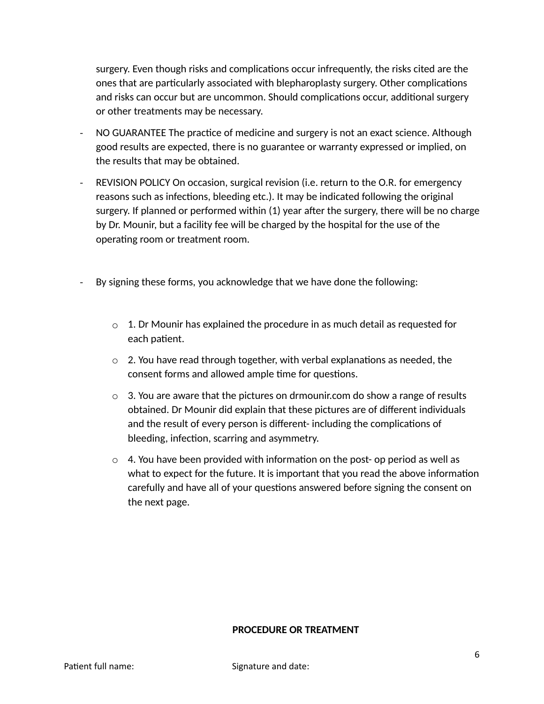surgery. Even though risks and complications occur infrequently, the risks cited are the ones that are particularly associated with blepharoplasty surgery. Other complications and risks can occur but are uncommon. Should complications occur, additional surgery or other treatments may be necessary.

- NO GUARANTEE The practice of medicine and surgery is not an exact science. Although good results are expected, there is no guarantee or warranty expressed or implied, on the results that may be obtained.
- REVISION POLICY On occasion, surgical revision (i.e. return to the O.R. for emergency reasons such as infections, bleeding etc.). It may be indicated following the original surgery. If planned or performed within (1) year after the surgery, there will be no charge by Dr. Mounir, but a facility fee will be charged by the hospital for the use of the operating room or treatment room.
- By signing these forms, you acknowledge that we have done the following:
	- $\circ$  1. Dr Mounir has explained the procedure in as much detail as requested for each patient.
	- $\circ$  2. You have read through together, with verbal explanations as needed, the consent forms and allowed ample time for questions.
	- $\circ$  3. You are aware that the pictures on drmounir.com do show a range of results obtained. Dr Mounir did explain that these pictures are of different individuals and the result of every person is different- including the complications of bleeding, infection, scarring and asymmetry.
	- $\circ$  4. You have been provided with information on the post- op period as well as what to expect for the future. It is important that you read the above information carefully and have all of your questions answered before signing the consent on the next page.

### **PROCEDURE OR TREATMENT**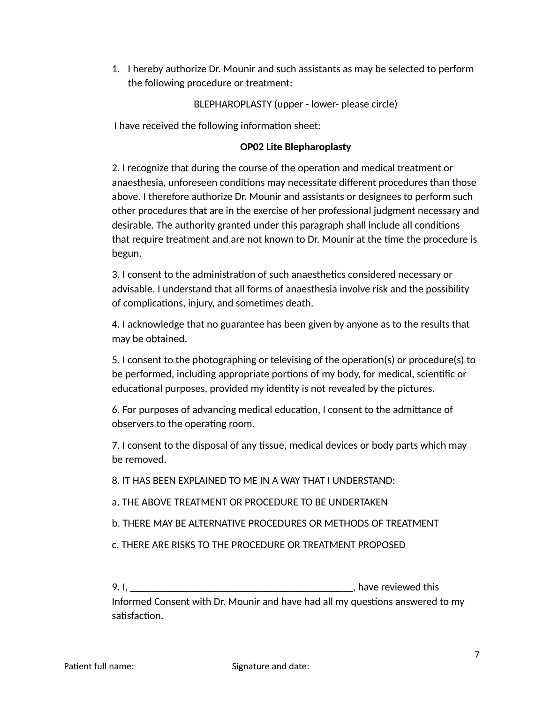1. I hereby authorize Dr. Mounir and such assistants as may be selected to perform the following procedure or treatment:

BLEPHAROPLASTY (upper - lower- please circle)

I have received the following information sheet:

### **OP02 Lite Blepharoplasty**

2. I recognize that during the course of the operation and medical treatment or anaesthesia, unforeseen conditions may necessitate different procedures than those above. I therefore authorize Dr. Mounir and assistants or designees to perform such other procedures that are in the exercise of her professional judgment necessary and desirable. The authority granted under this paragraph shall include all conditions that require treatment and are not known to Dr. Mounir at the time the procedure is begun.

3. I consent to the administration of such anaesthetics considered necessary or advisable. I understand that all forms of anaesthesia involve risk and the possibility of complications, injury, and sometimes death.

4. I acknowledge that no guarantee has been given by anyone as to the results that may be obtained.

5. I consent to the photographing or televising of the operation(s) or procedure(s) to be performed, including appropriate portions of my body, for medical, scientific or educational purposes, provided my identity is not revealed by the pictures.

6. For purposes of advancing medical education, I consent to the admittance of observers to the operating room.

7. I consent to the disposal of any tissue, medical devices or body parts which may be removed.

8. IT HAS BEEN EXPLAINED TO ME IN A WAY THAT I UNDERSTAND:

- a. THE ABOVE TREATMENT OR PROCEDURE TO BE UNDERTAKEN
- b. THERE MAY BE ALTERNATIVE PROCEDURES OR METHODS OF TREATMENT
- c. THERE ARE RISKS TO THE PROCEDURE OR TREATMENT PROPOSED

9. I, \_\_\_\_\_\_\_\_\_\_\_\_\_\_\_\_\_\_\_\_\_\_\_\_\_\_\_\_\_\_\_\_\_\_\_\_\_\_\_\_\_\_, have reviewed this

Informed Consent with Dr. Mounir and have had all my questions answered to my satisfaction.